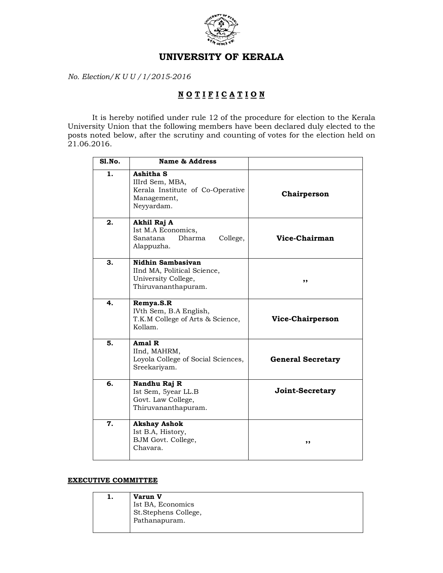

## UNIVERSITY OF KERALA

No. Election/K U U /1/2015-2016

## NOTIFICATION

 It is hereby notified under rule 12 of the procedure for election to the Kerala University Union that the following members have been declared duly elected to the posts noted below, after the scrutiny and counting of votes for the election held on 21.06.2016.

| $SI$ . No. | Name & Address                                                                                 |                          |
|------------|------------------------------------------------------------------------------------------------|--------------------------|
| 1.         | Ashitha S<br>IIIrd Sem, MBA,<br>Kerala Institute of Co-Operative<br>Management,<br>Neyyardam.  | Chairperson              |
| 2.         | Akhil Raj A<br>Ist M.A Economics,<br>Sanatana<br>Dharma<br>College,<br>Alappuzha.              | Vice-Chairman            |
| 3.         | Nidhin Sambasiyan<br>IInd MA, Political Science,<br>University College,<br>Thiruvananthapuram. | ,,                       |
| 4.         | Remya.S.R<br>IVth Sem, B.A English,<br>T.K.M College of Arts & Science,<br>Kollam.             | Vice-Chairperson         |
| 5.         | Amal R<br>IInd, MAHRM,<br>Loyola College of Social Sciences,<br>Sreekariyam.                   | <b>General Secretary</b> |
| 6.         | Nandhu Raj R<br>Ist Sem, 5year LL.B<br>Govt. Law College,<br>Thiruvananthapuram.               | Joint-Secretary          |
| 7.         | <b>Akshay Ashok</b><br>Ist B.A, History,<br>BJM Govt. College,<br>Chavara.                     | ,,                       |

## EXECUTIVE COMMITTEE

| Varun V                           |
|-----------------------------------|
| Ist BA, Economics                 |
| <sup>1</sup> St.Stephens College, |
| Pathanapuram.                     |
|                                   |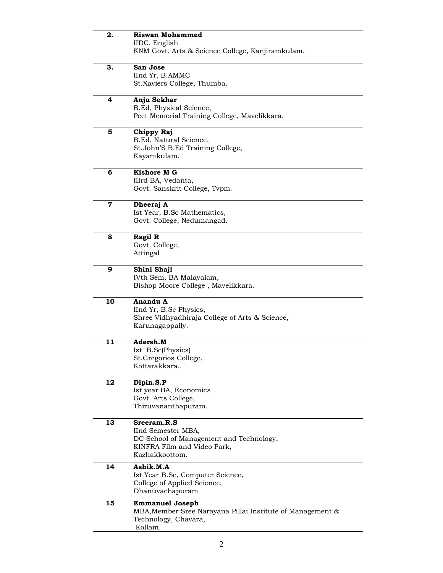| 2.          | <b>Riswan Mohammed</b><br>IIDC, English<br>KNM Govt. Arts & Science College, Kanjiramkulam.                                   |
|-------------|-------------------------------------------------------------------------------------------------------------------------------|
| З.          | San Jose<br>IInd Yr, B.AMMC<br>St.Xaviers College, Thumba.                                                                    |
| 4           | Anju Sekhar<br>B.Ed, Physical Science,<br>Peet Memorial Training College, Mavelikkara.                                        |
| 5           | Chippy Raj<br>B.Ed, Natural Science,<br>St.John'S B.Ed Training College,<br>Kayamkulam.                                       |
| 6           | Kishore M G<br>IIIrd BA, Vedanta,<br>Govt. Sanskrit College, Tvpm.                                                            |
| $\mathbf 7$ | Dheeraj A<br>Ist Year, B.Sc Mathematics,<br>Govt. College, Nedumangad.                                                        |
| 8           | Ragil R<br>Govt. College,<br>Attingal                                                                                         |
| 9           | Shini Shaji<br>IVth Sem, BA Malayalam,<br>Bishop Moore College, Mavelikkara.                                                  |
| 10          | Anandu A<br>IInd Yr, B.Sc Physics,<br>Shree Vidhyadhiraja College of Arts & Science,<br>Karunagappally.                       |
| 11          | Adersh.M<br>Ist B.Sc(Physics)<br>St.Gregorios College,<br>Kottarakkara                                                        |
| 12          | Dipin.S.P<br>Ist year BA, Economics<br>Govt. Arts College,<br>Thiruvananthapuram.                                             |
| 13          | Sreeram.R.S<br>IInd Semester MBA,<br>DC School of Management and Technology,<br>KINFRA Film and Video Park,<br>Kazhakkoottom. |
| 14          | Ashik.M.A<br>Ist Year B.Sc, Computer Science,<br>College of Applied Science,<br>Dhanuvachapuram                               |
| 15          | <b>Emmanuel Joseph</b><br>MBA, Member Sree Narayana Pillai Institute of Management &<br>Technology, Chavara,<br>Kollam.       |